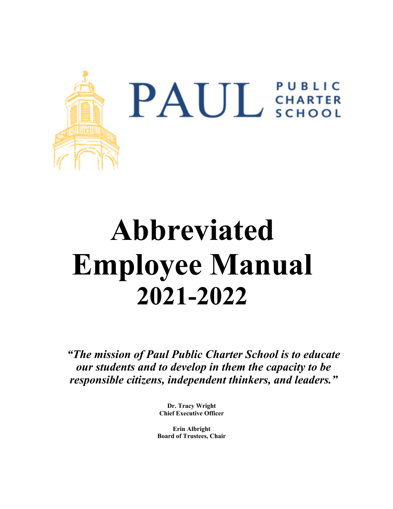

# **Abbreviated Employee Manual 2021-2022**

*"The mission of Paul Public Charter School is to educate our students and to develop in them the capacity to be responsible citizens, independent thinkers, and leaders."* 

> **Dr. Tracy Wright Chief Executive Officer**

**Erin Albright Board of Trustees, Chair**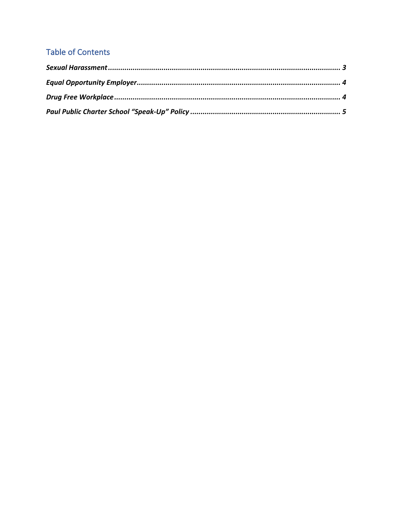## **Table of Contents**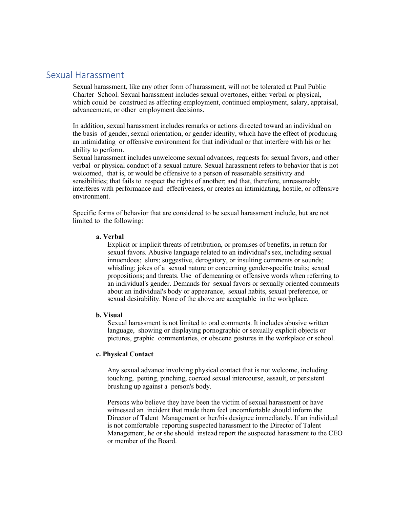## Sexual Harassment

Sexual harassment, like any other form of harassment, will not be tolerated at Paul Public Charter School. Sexual harassment includes sexual overtones, either verbal or physical, which could be construed as affecting employment, continued employment, salary, appraisal, advancement, or other employment decisions.

In addition, sexual harassment includes remarks or actions directed toward an individual on the basis of gender, sexual orientation, or gender identity, which have the effect of producing an intimidating or offensive environment for that individual or that interfere with his or her ability to perform.

Sexual harassment includes unwelcome sexual advances, requests for sexual favors, and other verbal or physical conduct of a sexual nature. Sexual harassment refers to behavior that is not welcomed, that is, or would be offensive to a person of reasonable sensitivity and sensibilities; that fails to respect the rights of another; and that, therefore, unreasonably interferes with performance and effectiveness, or creates an intimidating, hostile, or offensive environment.

Specific forms of behavior that are considered to be sexual harassment include, but are not limited to the following:

#### **a. Verbal**

Explicit or implicit threats of retribution, or promises of benefits, in return for sexual favors. Abusive language related to an individual's sex, including sexual innuendoes; slurs; suggestive, derogatory, or insulting comments or sounds; whistling; jokes of a sexual nature or concerning gender-specific traits; sexual propositions; and threats. Use of demeaning or offensive words when referring to an individual's gender. Demands for sexual favors or sexually oriented comments about an individual's body or appearance, sexual habits, sexual preference, or sexual desirability. None of the above are acceptable in the workplace.

## **b. Visual**

Sexual harassment is not limited to oral comments. It includes abusive written language, showing or displaying pornographic or sexually explicit objects or pictures, graphic commentaries, or obscene gestures in the workplace or school.

## **c. Physical Contact**

Any sexual advance involving physical contact that is not welcome, including touching, petting, pinching, coerced sexual intercourse, assault, or persistent brushing up against a person's body.

Persons who believe they have been the victim of sexual harassment or have witnessed an incident that made them feel uncomfortable should inform the Director of Talent Management or her/his designee immediately. If an individual is not comfortable reporting suspected harassment to the Director of Talent Management, he or she should instead report the suspected harassment to the CEO or member of the Board.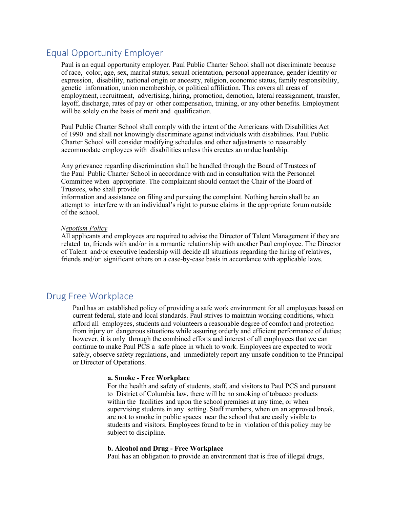## Equal Opportunity Employer

Paul is an equal opportunity employer. Paul Public Charter School shall not discriminate because of race, color, age, sex, marital status, sexual orientation, personal appearance, gender identity or expression, disability, national origin or ancestry, religion, economic status, family responsibility, genetic information, union membership, or political affiliation. This covers all areas of employment, recruitment, advertising, hiring, promotion, demotion, lateral reassignment, transfer, layoff, discharge, rates of pay or other compensation, training, or any other benefits. Employment will be solely on the basis of merit and qualification.

Paul Public Charter School shall comply with the intent of the Americans with Disabilities Act of 1990 and shall not knowingly discriminate against individuals with disabilities. Paul Public Charter School will consider modifying schedules and other adjustments to reasonably accommodate employees with disabilities unless this creates an undue hardship.

Any grievance regarding discrimination shall be handled through the Board of Trustees of the Paul Public Charter School in accordance with and in consultation with the Personnel Committee when appropriate. The complainant should contact the Chair of the Board of Trustees, who shall provide

information and assistance on filing and pursuing the complaint. Nothing herein shall be an attempt to interfere with an individual's right to pursue claims in the appropriate forum outside of the school.

#### *Nepotism Policy*

All applicants and employees are required to advise the Director of Talent Management if they are related to, friends with and/or in a romantic relationship with another Paul employee. The Director of Talent and/or executive leadership will decide all situations regarding the hiring of relatives, friends and/or significant others on a case-by-case basis in accordance with applicable laws.

## Drug Free Workplace

Paul has an established policy of providing a safe work environment for all employees based on current federal, state and local standards. Paul strives to maintain working conditions, which afford all employees, students and volunteers a reasonable degree of comfort and protection from injury or dangerous situations while assuring orderly and efficient performance of duties; however, it is only through the combined efforts and interest of all employees that we can continue to make Paul PCS a safe place in which to work. Employees are expected to work safely, observe safety regulations, and immediately report any unsafe condition to the Principal or Director of Operations.

#### **a. Smoke - Free Workplace**

For the health and safety of students, staff, and visitors to Paul PCS and pursuant to District of Columbia law, there will be no smoking of tobacco products within the facilities and upon the school premises at any time, or when supervising students in any setting. Staff members, when on an approved break, are not to smoke in public spaces near the school that are easily visible to students and visitors. Employees found to be in violation of this policy may be subject to discipline.

## **b. Alcohol and Drug - Free Workplace**

Paul has an obligation to provide an environment that is free of illegal drugs,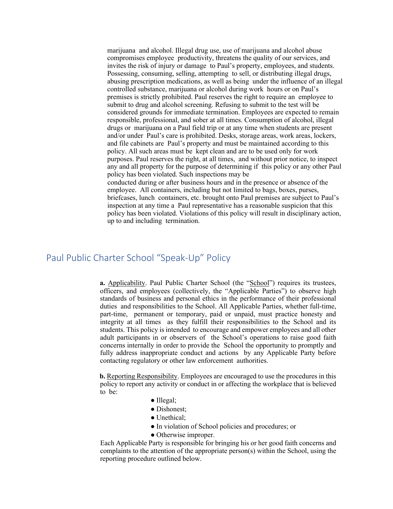marijuana and alcohol. Illegal drug use, use of marijuana and alcohol abuse compromises employee productivity, threatens the quality of our services, and invites the risk of injury or damage to Paul's property, employees, and students. Possessing, consuming, selling, attempting to sell, or distributing illegal drugs, abusing prescription medications, as well as being under the influence of an illegal controlled substance, marijuana or alcohol during work hours or on Paul's premises is strictly prohibited. Paul reserves the right to require an employee to submit to drug and alcohol screening. Refusing to submit to the test will be considered grounds for immediate termination. Employees are expected to remain responsible, professional, and sober at all times. Consumption of alcohol, illegal drugs or marijuana on a Paul field trip or at any time when students are present and/or under Paul's care is prohibited. Desks, storage areas, work areas, lockers, and file cabinets are Paul's property and must be maintained according to this policy. All such areas must be kept clean and are to be used only for work purposes. Paul reserves the right, at all times, and without prior notice, to inspect any and all property for the purpose of determining if this policy or any other Paul policy has been violated. Such inspections may be conducted during or after business hours and in the presence or absence of the employee. All containers, including but not limited to bags, boxes, purses, briefcases, lunch containers, etc. brought onto Paul premises are subject to Paul's inspection at any time a Paul representative has a reasonable suspicion that this policy has been violated. Violations of this policy will result in disciplinary action, up to and including termination.

## Paul Public Charter School "Speak-Up" Policy

**a.** Applicability. Paul Public Charter School (the "School") requires its trustees, officers, and employees (collectively, the "Applicable Parties") to observe high standards of business and personal ethics in the performance of their professional duties and responsibilities to the School. All Applicable Parties, whether full-time, part-time, permanent or temporary, paid or unpaid, must practice honesty and integrity at all times as they fulfill their responsibilities to the School and its students. This policy is intended to encourage and empower employees and all other adult participants in or observers of the School's operations to raise good faith concerns internally in order to provide the School the opportunity to promptly and fully address inappropriate conduct and actions by any Applicable Party before contacting regulatory or other law enforcement authorities.

**b.** Reporting Responsibility. Employees are encouraged to use the procedures in this policy to report any activity or conduct in or affecting the workplace that is believed to be:

- Illegal;
- Dishonest:
- Unethical:
- In violation of School policies and procedures; or
- Otherwise improper.

Each Applicable Party is responsible for bringing his or her good faith concerns and complaints to the attention of the appropriate person(s) within the School, using the reporting procedure outlined below.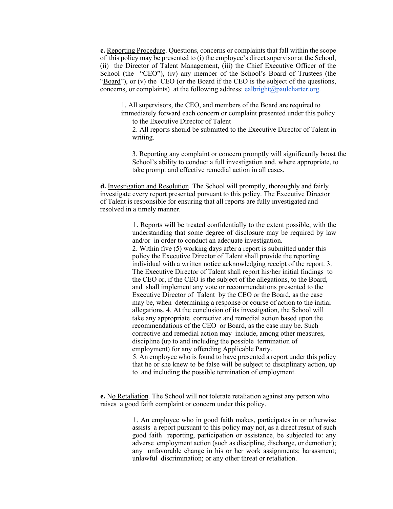**c.** Reporting Procedure. Questions, concerns or complaints that fall within the scope of this policy may be presented to (i) the employee's direct supervisor at the School, (ii) the Director of Talent Management, (iii) the Chief Executive Officer of the School (the "CEO"), (iv) any member of the School's Board of Trustees (the "Board"), or (v) the CEO (or the Board if the CEO is the subject of the questions, concerns, or complaints) at the following address: ealbright@paulcharter.org.

1. All supervisors, the CEO, and members of the Board are required to immediately forward each concern or complaint presented under this policy to the Executive Director of Talent

2. All reports should be submitted to the Executive Director of Talent in writing.

3. Reporting any complaint or concern promptly will significantly boost the School's ability to conduct a full investigation and, where appropriate, to take prompt and effective remedial action in all cases.

**d.** Investigation and Resolution. The School will promptly, thoroughly and fairly investigate every report presented pursuant to this policy. The Executive Director of Talent is responsible for ensuring that all reports are fully investigated and resolved in a timely manner.

> 1. Reports will be treated confidentially to the extent possible, with the understanding that some degree of disclosure may be required by law and/or in order to conduct an adequate investigation. 2. Within five (5) working days after a report is submitted under this policy the Executive Director of Talent shall provide the reporting individual with a written notice acknowledging receipt of the report. 3. The Executive Director of Talent shall report his/her initial findings to the CEO or, if the CEO is the subject of the allegations, to the Board, and shall implement any vote or recommendations presented to the Executive Director of Talent by the CEO or the Board, as the case may be, when determining a response or course of action to the initial allegations. 4. At the conclusion of its investigation, the School will take any appropriate corrective and remedial action based upon the recommendations of the CEO or Board, as the case may be. Such corrective and remedial action may include, among other measures, discipline (up to and including the possible termination of employment) for any offending Applicable Party.

> 5. An employee who is found to have presented a report under this policy that he or she knew to be false will be subject to disciplinary action, up to and including the possible termination of employment.

**e.** No Retaliation. The School will not tolerate retaliation against any person who raises a good faith complaint or concern under this policy.

> 1. An employee who in good faith makes, participates in or otherwise assists a report pursuant to this policy may not, as a direct result of such good faith reporting, participation or assistance, be subjected to: any adverse employment action (such as discipline, discharge, or demotion); any unfavorable change in his or her work assignments; harassment; unlawful discrimination; or any other threat or retaliation.